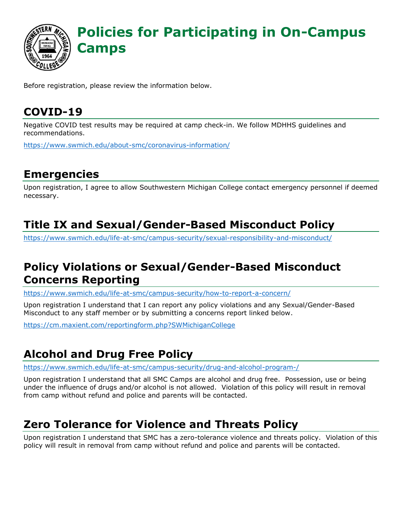

Before registration, please review the information below.

### **COVID-19**

Negative COVID test results may be required at camp check-in. We follow MDHHS guidelines and recommendations.

<https://www.swmich.edu/about-smc/coronavirus-information/>

#### **Emergencies**

Upon registration, I agree to allow Southwestern Michigan College contact emergency personnel if deemed necessary.

### **Title IX and Sexual/Gender-Based Misconduct Policy**

<https://www.swmich.edu/life-at-smc/campus-security/sexual-responsibility-and-misconduct/>

### **Policy Violations or Sexual/Gender-Based Misconduct Concerns Reporting**

<https://www.swmich.edu/life-at-smc/campus-security/how-to-report-a-concern/>

Upon registration I understand that I can report any policy violations and any Sexual/Gender-Based Misconduct to any staff member or by submitting a concerns report linked below.

<https://cm.maxient.com/reportingform.php?SWMichiganCollege>

## **Alcohol and Drug Free Policy**

<https://www.swmich.edu/life-at-smc/campus-security/drug-and-alcohol-program-/>

Upon registration I understand that all SMC Camps are alcohol and drug free. Possession, use or being under the influence of drugs and/or alcohol is not allowed. Violation of this policy will result in removal from camp without refund and police and parents will be contacted.

#### **Zero Tolerance for Violence and Threats Policy**

 Upon registration I understand that SMC has a zero-tolerance violence and threats policy. Violation of this policy will result in removal from camp without refund and police and parents will be contacted.